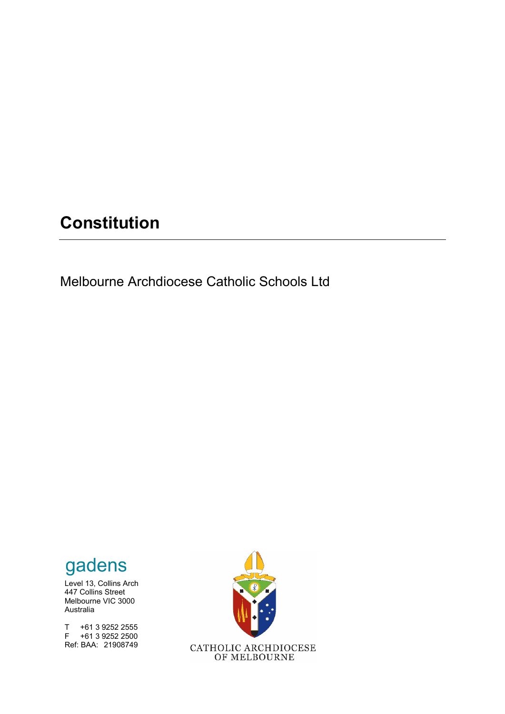# **Constitution**

Melbourne Archdiocese Catholic Schools Ltd

# gadens

Level 13, Collins Arch 447 Collins Street Melbourne VIC 3000 Australia

T +61 3 9252 2555 F +61 3 9252 2500 Ref: BAA: 21908749

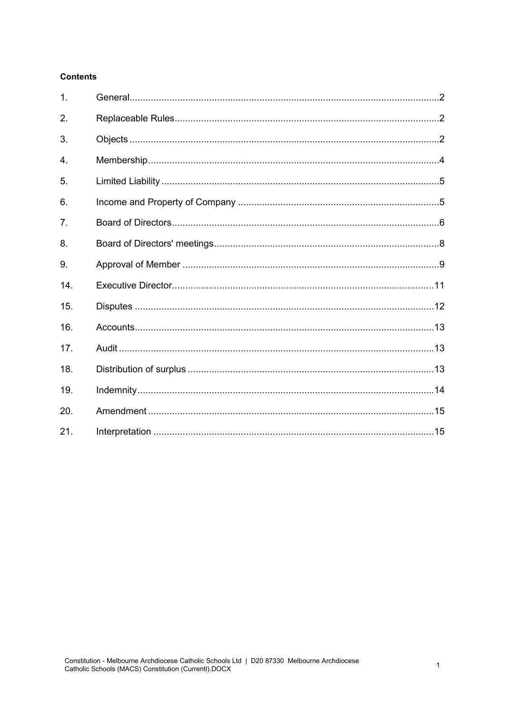# **Contents**

| 1.  |  |
|-----|--|
| 2.  |  |
| 3.  |  |
| 4.  |  |
| 5.  |  |
| 6.  |  |
| 7.  |  |
| 8.  |  |
| 9.  |  |
| 14. |  |
| 15. |  |
| 16. |  |
| 17. |  |
| 18. |  |
| 19. |  |
| 20. |  |
| 21. |  |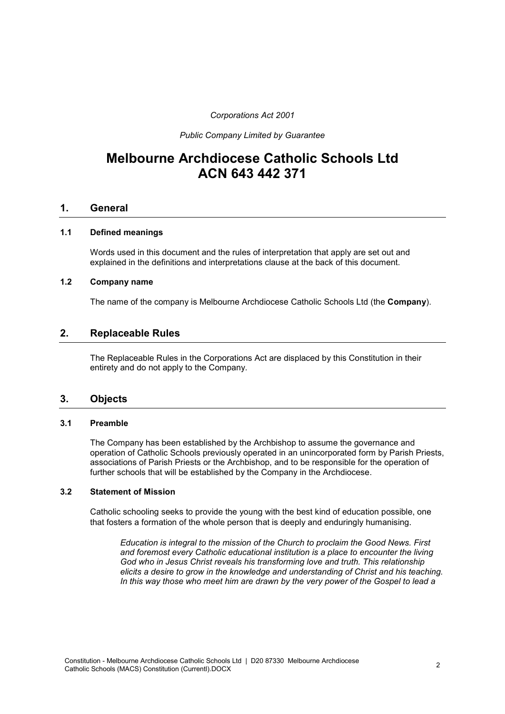*Corporations Act 2001*

*Public Company Limited by Guarantee*

# **Melbourne Archdiocese Catholic Schools Ltd ACN 643 442 371**

# **1. General**

#### **1.1 Defined meanings**

Words used in this document and the rules of interpretation that apply are set out and explained in the definitions and interpretations clause at the back of this document.

#### **1.2 Company name**

The name of the company is Melbourne Archdiocese Catholic Schools Ltd (the **Company**).

# **2. Replaceable Rules**

<span id="page-2-0"></span>The Replaceable Rules in the Corporations Act are displaced by this Constitution in their entirety and do not apply to the Company.

#### **3. Objects**

#### **3.1 Preamble**

The Company has been established by the Archbishop to assume the governance and operation of Catholic Schools previously operated in an unincorporated form by Parish Priests, associations of Parish Priests or the Archbishop, and to be responsible for the operation of further schools that will be established by the Company in the Archdiocese.

#### **3.2 Statement of Mission**

Catholic schooling seeks to provide the young with the best kind of education possible, one that fosters a formation of the whole person that is deeply and enduringly humanising.

*Education is integral to the mission of the Church to proclaim the Good News. First and foremost every Catholic educational institution is a place to encounter the living God who in Jesus Christ reveals his transforming love and truth. This relationship elicits a desire to grow in the knowledge and understanding of Christ and his teaching. In this way those who meet him are drawn by the very power of the Gospel to lead a*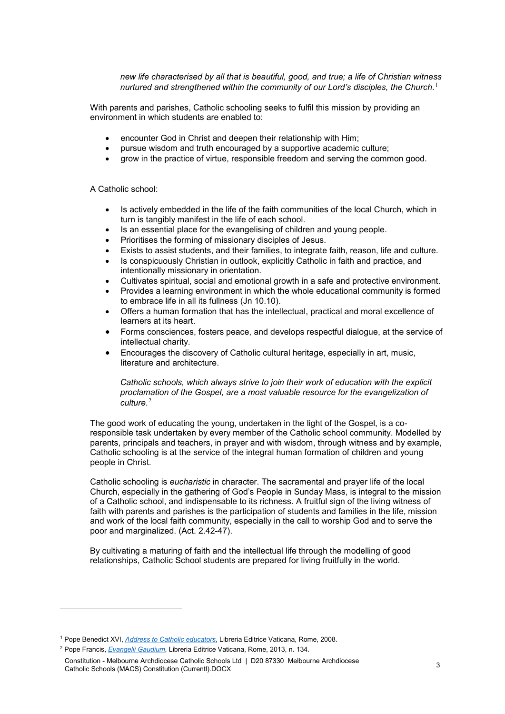*new life characterised by all that is beautiful, good, and true; a life of Christian witness nurtured and strengthened within the community of our Lord's disciples, the Church*. [1](#page-3-0)

With parents and parishes, Catholic schooling seeks to fulfil this mission by providing an environment in which students are enabled to:

- encounter God in Christ and deepen their relationship with Him;
- pursue wisdom and truth encouraged by a supportive academic culture;
- grow in the practice of virtue, responsible freedom and serving the common good.

A Catholic school:

- Is actively embedded in the life of the faith communities of the local Church, which in turn is tangibly manifest in the life of each school.
- Is an essential place for the evangelising of children and young people.
- Prioritises the forming of missionary disciples of Jesus.
- Exists to assist students, and their families, to integrate faith, reason, life and culture.
- Is conspicuously Christian in outlook, explicitly Catholic in faith and practice, and intentionally missionary in orientation.
- Cultivates spiritual, social and emotional growth in a safe and protective environment.
- Provides a learning environment in which the whole educational community is formed to embrace life in all its fullness (Jn 10.10).
- Offers a human formation that has the intellectual, practical and moral excellence of learners at its heart.
- Forms consciences, fosters peace, and develops respectful dialogue, at the service of intellectual charity.
- Encourages the discovery of Catholic cultural heritage, especially in art, music, literature and architecture.

*Catholic schools, which always strive to join their work of education with the explicit proclamation of the Gospel, are a most valuable resource for the evangelization of culture*. [2](#page-3-1)

The good work of educating the young, undertaken in the light of the Gospel, is a coresponsible task undertaken by every member of the Catholic school community. Modelled by parents, principals and teachers, in prayer and with wisdom, through witness and by example, Catholic schooling is at the service of the integral human formation of children and young people in Christ.

Catholic schooling is *eucharistic* in character. The sacramental and prayer life of the local Church, especially in the gathering of God's People in Sunday Mass, is integral to the mission of a Catholic school, and indispensable to its richness. A fruitful sign of the living witness of faith with parents and parishes is the participation of students and families in the life, mission and work of the local faith community, especially in the call to worship God and to serve the poor and marginalized. (Act. 2.42-47).

By cultivating a maturing of faith and the intellectual life through the modelling of good relationships, Catholic School students are prepared for living fruitfully in the world.

<u>.</u>

<span id="page-3-0"></span><sup>1</sup> Pope Benedict XVI, *[Address to Catholic educators](http://www.vatican.va/content/benedict-xvi/en/speeches/2008/april/documents/hf_ben-xvi_spe_20080417_cath-univ-washington.html)*, Libreria Editrice Vaticana, Rome, 2008.

<span id="page-3-1"></span><sup>2</sup> Pope Francis, *[Evangelii Gaudium](http://www.vatican.va/content/francesco/en/apost_exhortations/documents/papa-francesco_esortazione-ap_20131124_evangelii-gaudium.html)*, Libreria Editrice Vaticana, Rome, 2013, n. 134.

Constitution - Melbourne Archdiocese Catholic Schools Ltd | D20 87330 Melbourne Archdiocese Constitution - Melbourne Archalocese Catholic Schools Ltd | D20 87330 Melbourne Archalocese<br>Catholic Schools (MACS) Constitution (Currentl).DOCX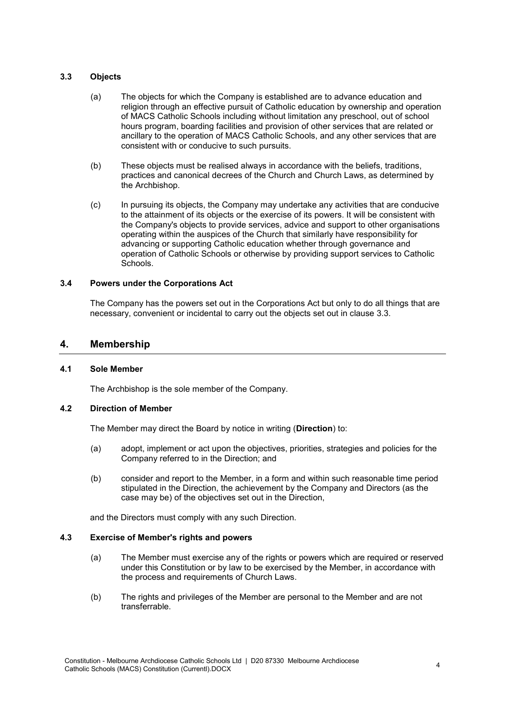#### <span id="page-4-0"></span>**3.3 Objects**

- (a) The objects for which the Company is established are to advance education and religion through an effective pursuit of Catholic education by ownership and operation of MACS Catholic Schools including without limitation any preschool, out of school hours program, boarding facilities and provision of other services that are related or ancillary to the operation of MACS Catholic Schools, and any other services that are consistent with or conducive to such pursuits.
- (b) These objects must be realised always in accordance with the beliefs, traditions, practices and canonical decrees of the Church and Church Laws, as determined by the Archbishop.
- (c) In pursuing its objects, the Company may undertake any activities that are conducive to the attainment of its objects or the exercise of its powers. It will be consistent with the Company's objects to provide services, advice and support to other organisations operating within the auspices of the Church that similarly have responsibility for advancing or supporting Catholic education whether through governance and operation of Catholic Schools or otherwise by providing support services to Catholic Schools.

#### **3.4 Powers under the Corporations Act**

The Company has the powers set out in the Corporations Act but only to do all things that are necessary, convenient or incidental to carry out the objects set out in clause [3.3.](#page-4-0)

## **4. Membership**

#### <span id="page-4-2"></span>**4.1 Sole Member**

The Archbishop is the sole member of the Company.

#### <span id="page-4-1"></span>**4.2 Direction of Member**

The Member may direct the Board by notice in writing (**Direction**) to:

- (a) adopt, implement or act upon the objectives, priorities, strategies and policies for the Company referred to in the Direction; and
- (b) consider and report to the Member, in a form and within such reasonable time period stipulated in the Direction, the achievement by the Company and Directors (as the case may be) of the objectives set out in the Direction,

and the Directors must comply with any such Direction.

#### **4.3 Exercise of Member's rights and powers**

- (a) The Member must exercise any of the rights or powers which are required or reserved under this Constitution or by law to be exercised by the Member, in accordance with the process and requirements of Church Laws.
- (b) The rights and privileges of the Member are personal to the Member and are not transferrable.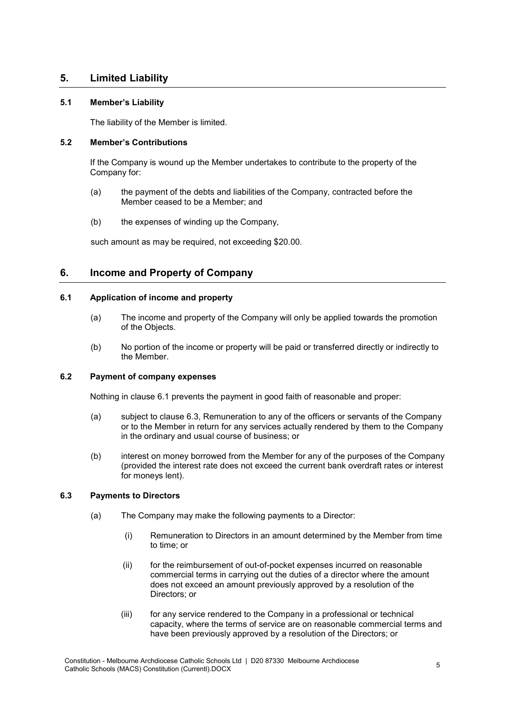# **5. Limited Liability**

#### **5.1 Member's Liability**

The liability of the Member is limited.

#### **5.2 Member's Contributions**

If the Company is wound up the Member undertakes to contribute to the property of the Company for:

- (a) the payment of the debts and liabilities of the Company, contracted before the Member ceased to be a Member; and
- (b) the expenses of winding up the Company,

such amount as may be required, not exceeding \$20.00.

# **6. Income and Property of Company**

# <span id="page-5-0"></span>**6.1 Application of income and property**

- (a) The income and property of the Company will only be applied towards the promotion of the Objects.
- (b) No portion of the income or property will be paid or transferred directly or indirectly to the Member.

#### **6.2 Payment of company expenses**

Nothing in clause [6.1](#page-5-0) prevents the payment in good faith of reasonable and proper:

- (a) subject to clause [6.3,](#page-5-1) Remuneration to any of the officers or servants of the Company or to the Member in return for any services actually rendered by them to the Company in the ordinary and usual course of business; or
- (b) interest on money borrowed from the Member for any of the purposes of the Company (provided the interest rate does not exceed the current bank overdraft rates or interest for moneys lent).

#### <span id="page-5-2"></span><span id="page-5-1"></span>**6.3 Payments to Directors**

- (a) The Company may make the following payments to a Director:
	- (i) Remuneration to Directors in an amount determined by the Member from time to time; or
	- (ii) for the reimbursement of out-of-pocket expenses incurred on reasonable commercial terms in carrying out the duties of a director where the amount does not exceed an amount previously approved by a resolution of the Directors; or
	- (iii) for any service rendered to the Company in a professional or technical capacity, where the terms of service are on reasonable commercial terms and have been previously approved by a resolution of the Directors; or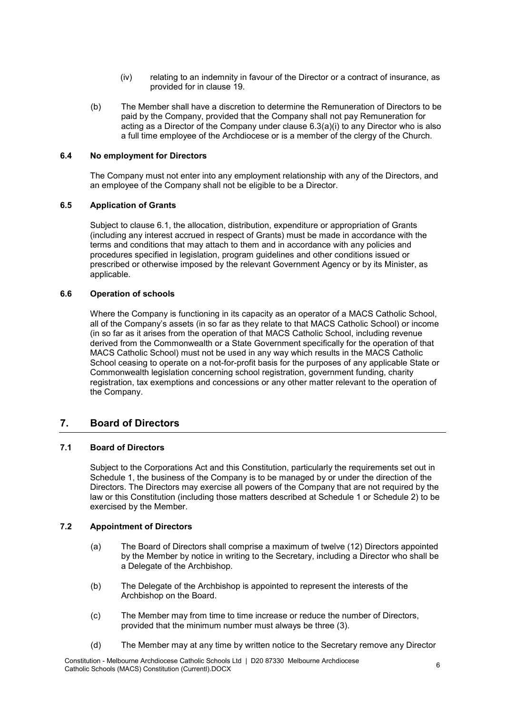- (iv) relating to an indemnity in favour of the Director or a contract of insurance, as provided for in clause [19.](#page-14-0)
- (b) The Member shall have a discretion to determine the Remuneration of Directors to be paid by the Company, provided that the Company shall not pay Remuneration for acting as a Director of the Company under clause [6.3\(a\)\(i\)](#page-5-2) to any Director who is also a full time employee of the Archdiocese or is a member of the clergy of the Church.

#### **6.4 No employment for Directors**

The Company must not enter into any employment relationship with any of the Directors, and an employee of the Company shall not be eligible to be a Director.

#### **6.5 Application of Grants**

Subject to clause [6.1,](#page-5-0) the allocation, distribution, expenditure or appropriation of Grants (including any interest accrued in respect of Grants) must be made in accordance with the terms and conditions that may attach to them and in accordance with any policies and procedures specified in legislation, program guidelines and other conditions issued or prescribed or otherwise imposed by the relevant Government Agency or by its Minister, as applicable.

#### **6.6 Operation of schools**

Where the Company is functioning in its capacity as an operator of a MACS Catholic School, all of the Company's assets (in so far as they relate to that MACS Catholic School) or income (in so far as it arises from the operation of that MACS Catholic School, including revenue derived from the Commonwealth or a State Government specifically for the operation of that MACS Catholic School) must not be used in any way which results in the MACS Catholic School ceasing to operate on a not-for-profit basis for the purposes of any applicable State or Commonwealth legislation concerning school registration, government funding, charity registration, tax exemptions and concessions or any other matter relevant to the operation of the Company.

# **7. Board of Directors**

#### <span id="page-6-2"></span>**7.1 Board of Directors**

Subject to the Corporations Act and this Constitution, particularly the requirements set out in Schedule 1, the business of the Company is to be managed by or under the direction of the Directors. The Directors may exercise all powers of the Company that are not required by the law or this Constitution (including those matters described at Schedule 1 or Schedule 2) to be exercised by the Member.

#### <span id="page-6-1"></span>**7.2 Appointment of Directors**

- <span id="page-6-0"></span>(a) The Board of Directors shall comprise a maximum of twelve (12) Directors appointed by the Member by notice in writing to the Secretary, including a Director who shall be a Delegate of the Archbishop.
- (b) The Delegate of the Archbishop is appointed to represent the interests of the Archbishop on the Board.
- <span id="page-6-3"></span>(c) The Member may from time to time increase or reduce the number of Directors, provided that the minimum number must always be three (3).
- <span id="page-6-4"></span>(d) The Member may at any time by written notice to the Secretary remove any Director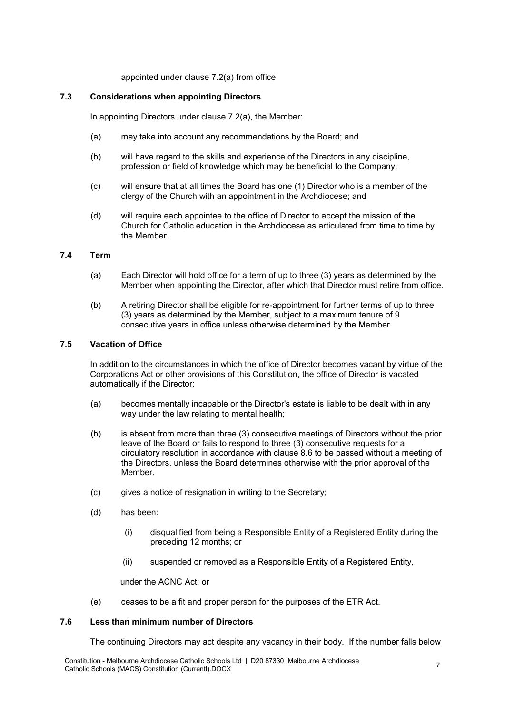appointed under clause [7.2\(a\)](#page-6-0) from office.

#### **7.3 Considerations when appointing Directors**

In appointing Directors under clause [7.2\(a\),](#page-6-0) the Member:

- (a) may take into account any recommendations by the Board; and
- (b) will have regard to the skills and experience of the Directors in any discipline, profession or field of knowledge which may be beneficial to the Company;
- (c) will ensure that at all times the Board has one (1) Director who is a member of the clergy of the Church with an appointment in the Archdiocese; and
- (d) will require each appointee to the office of Director to accept the mission of the Church for Catholic education in the Archdiocese as articulated from time to time by the Member.

#### **7.4 Term**

- (a) Each Director will hold office for a term of up to three (3) years as determined by the Member when appointing the Director, after which that Director must retire from office.
- (b) A retiring Director shall be eligible for re-appointment for further terms of up to three (3) years as determined by the Member, subject to a maximum tenure of 9 consecutive years in office unless otherwise determined by the Member.

#### **7.5 Vacation of Office**

In addition to the circumstances in which the office of Director becomes vacant by virtue of the Corporations Act or other provisions of this Constitution, the office of Director is vacated automatically if the Director:

- (a) becomes mentally incapable or the Director's estate is liable to be dealt with in any way under the law relating to mental health;
- <span id="page-7-0"></span>(b) is absent from more than three (3) consecutive meetings of Directors without the prior leave of the Board or fails to respond to three (3) consecutive requests for a circulatory resolution in accordance with clause [8.6](#page-9-0) to be passed without a meeting of the Directors, unless the Board determines otherwise with the prior approval of the Member.
- (c) gives a notice of resignation in writing to the Secretary;
- (d) has been:
	- (i) disqualified from being a Responsible Entity of a Registered Entity during the preceding 12 months; or
	- (ii) suspended or removed as a Responsible Entity of a Registered Entity,

under the ACNC Act; or

(e) ceases to be a fit and proper person for the purposes of the ETR Act.

#### **7.6 Less than minimum number of Directors**

The continuing Directors may act despite any vacancy in their body. If the number falls below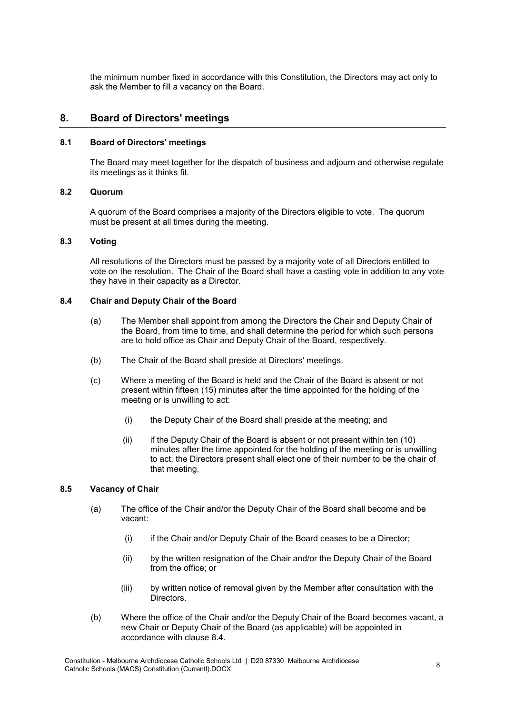the minimum number fixed in accordance with this Constitution, the Directors may act only to ask the Member to fill a vacancy on the Board.

# **8. Board of Directors' meetings**

#### **8.1 Board of Directors' meetings**

The Board may meet together for the dispatch of business and adjourn and otherwise regulate its meetings as it thinks fit.

#### **8.2 Quorum**

A quorum of the Board comprises a majority of the Directors eligible to vote. The quorum must be present at all times during the meeting.

#### **8.3 Voting**

All resolutions of the Directors must be passed by a majority vote of all Directors entitled to vote on the resolution. The Chair of the Board shall have a casting vote in addition to any vote they have in their capacity as a Director.

#### <span id="page-8-1"></span><span id="page-8-0"></span>**8.4 Chair and Deputy Chair of the Board**

- (a) The Member shall appoint from among the Directors the Chair and Deputy Chair of the Board, from time to time, and shall determine the period for which such persons are to hold office as Chair and Deputy Chair of the Board, respectively.
- (b) The Chair of the Board shall preside at Directors' meetings.
- (c) Where a meeting of the Board is held and the Chair of the Board is absent or not present within fifteen (15) minutes after the time appointed for the holding of the meeting or is unwilling to act:
	- (i) the Deputy Chair of the Board shall preside at the meeting; and
	- (ii) if the Deputy Chair of the Board is absent or not present within ten (10) minutes after the time appointed for the holding of the meeting or is unwilling to act, the Directors present shall elect one of their number to be the chair of that meeting.

#### **8.5 Vacancy of Chair**

- (a) The office of the Chair and/or the Deputy Chair of the Board shall become and be vacant:
	- (i) if the Chair and/or Deputy Chair of the Board ceases to be a Director;
	- (ii) by the written resignation of the Chair and/or the Deputy Chair of the Board from the office; or
	- (iii) by written notice of removal given by the Member after consultation with the Directors.
- <span id="page-8-2"></span>(b) Where the office of the Chair and/or the Deputy Chair of the Board becomes vacant, a new Chair or Deputy Chair of the Board (as applicable) will be appointed in accordance with clause [8.4.](#page-8-0)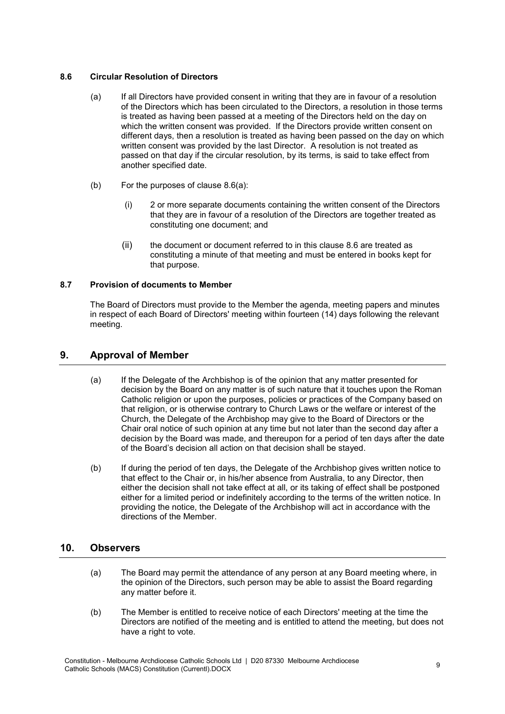#### <span id="page-9-1"></span><span id="page-9-0"></span>**8.6 Circular Resolution of Directors**

- (a) If all Directors have provided consent in writing that they are in favour of a resolution of the Directors which has been circulated to the Directors, a resolution in those terms is treated as having been passed at a meeting of the Directors held on the day on which the written consent was provided. If the Directors provide written consent on different days, then a resolution is treated as having been passed on the day on which written consent was provided by the last Director. A resolution is not treated as passed on that day if the circular resolution, by its terms, is said to take effect from another specified date.
- (b) For the purposes of clause [8.6\(a\):](#page-9-1)
	- (i) 2 or more separate documents containing the written consent of the Directors that they are in favour of a resolution of the Directors are together treated as constituting one document; and
	- (ii) the document or document referred to in this clause [8.6](#page-9-0) are treated as constituting a minute of that meeting and must be entered in books kept for that purpose.

## <span id="page-9-2"></span>**8.7 Provision of documents to Member**

The Board of Directors must provide to the Member the agenda, meeting papers and minutes in respect of each Board of Directors' meeting within fourteen (14) days following the relevant meeting.

# <span id="page-9-3"></span>**9. Approval of Member**

- (a) If the Delegate of the Archbishop is of the opinion that any matter presented for decision by the Board on any matter is of such nature that it touches upon the Roman Catholic religion or upon the purposes, policies or practices of the Company based on that religion, or is otherwise contrary to Church Laws or the welfare or interest of the Church, the Delegate of the Archbishop may give to the Board of Directors or the Chair oral notice of such opinion at any time but not later than the second day after a decision by the Board was made, and thereupon for a period of ten days after the date of the Board's decision all action on that decision shall be stayed.
- (b) If during the period of ten days, the Delegate of the Archbishop gives written notice to that effect to the Chair or, in his/her absence from Australia, to any Director, then either the decision shall not take effect at all, or its taking of effect shall be postponed either for a limited period or indefinitely according to the terms of the written notice. In providing the notice, the Delegate of the Archbishop will act in accordance with the directions of the Member.

# <span id="page-9-4"></span>**10. Observers**

- (a) The Board may permit the attendance of any person at any Board meeting where, in the opinion of the Directors, such person may be able to assist the Board regarding any matter before it.
- (b) The Member is entitled to receive notice of each Directors' meeting at the time the Directors are notified of the meeting and is entitled to attend the meeting, but does not have a right to vote.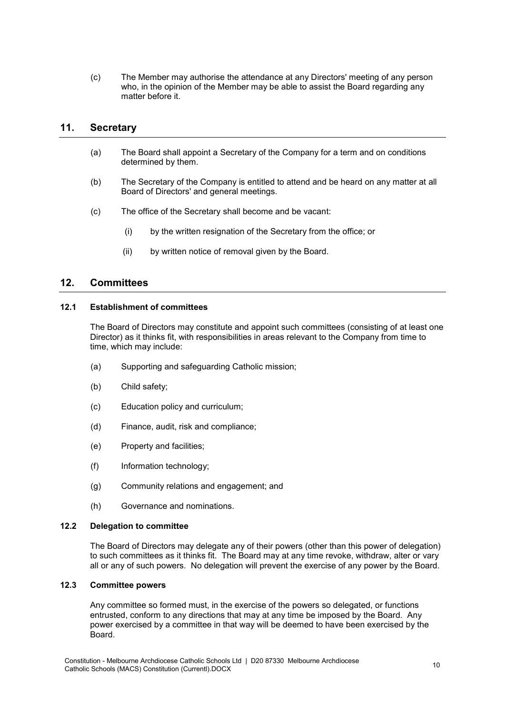(c) The Member may authorise the attendance at any Directors' meeting of any person who, in the opinion of the Member may be able to assist the Board regarding any matter before it

# <span id="page-10-1"></span>**11. Secretary**

- (a) The Board shall appoint a Secretary of the Company for a term and on conditions determined by them.
- (b) The Secretary of the Company is entitled to attend and be heard on any matter at all Board of Directors' and general meetings.
- (c) The office of the Secretary shall become and be vacant:
	- (i) by the written resignation of the Secretary from the office; or
	- (ii) by written notice of removal given by the Board.

# <span id="page-10-0"></span>**12. Committees**

#### **12.1 Establishment of committees**

The Board of Directors may constitute and appoint such committees (consisting of at least one Director) as it thinks fit, with responsibilities in areas relevant to the Company from time to time, which may include:

- (a) Supporting and safeguarding Catholic mission;
- (b) Child safety;
- (c) Education policy and curriculum;
- (d) Finance, audit, risk and compliance;
- (e) Property and facilities;
- (f) Information technology;
- (g) Community relations and engagement; and
- (h) Governance and nominations.

#### **12.2 Delegation to committee**

The Board of Directors may delegate any of their powers (other than this power of delegation) to such committees as it thinks fit. The Board may at any time revoke, withdraw, alter or vary all or any of such powers. No delegation will prevent the exercise of any power by the Board.

#### **12.3 Committee powers**

Any committee so formed must, in the exercise of the powers so delegated, or functions entrusted, conform to any directions that may at any time be imposed by the Board. Any power exercised by a committee in that way will be deemed to have been exercised by the Board.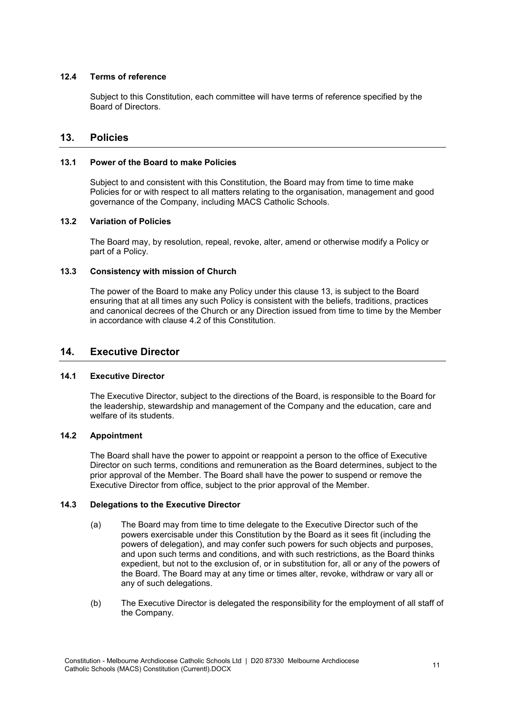#### **12.4 Terms of reference**

Subject to this Constitution, each committee will have terms of reference specified by the Board of Directors.

# <span id="page-11-0"></span>**13. Policies**

#### **13.1 Power of the Board to make Policies**

Subject to and consistent with this Constitution, the Board may from time to time make Policies for or with respect to all matters relating to the organisation, management and good governance of the Company, including MACS Catholic Schools.

#### **13.2 Variation of Policies**

The Board may, by resolution, repeal, revoke, alter, amend or otherwise modify a Policy or part of a Policy.

#### **13.3 Consistency with mission of Church**

The power of the Board to make any Policy under this clause [13,](#page-11-0) is subject to the Board ensuring that at all times any such Policy is consistent with the beliefs, traditions, practices and canonical decrees of the Church or any Direction issued from time to time by the Member in accordance with clause [4.2](#page-4-1) of this Constitution.

# <span id="page-11-1"></span>**14. Executive Director**

#### **14.1 Executive Director**

The Executive Director, subject to the directions of the Board, is responsible to the Board for the leadership, stewardship and management of the Company and the education, care and welfare of its students.

#### <span id="page-11-2"></span>**14.2 Appointment**

The Board shall have the power to appoint or reappoint a person to the office of Executive Director on such terms, conditions and remuneration as the Board determines, subject to the prior approval of the Member. The Board shall have the power to suspend or remove the Executive Director from office, subject to the prior approval of the Member.

#### **14.3 Delegations to the Executive Director**

- (a) The Board may from time to time delegate to the Executive Director such of the powers exercisable under this Constitution by the Board as it sees fit (including the powers of delegation), and may confer such powers for such objects and purposes, and upon such terms and conditions, and with such restrictions, as the Board thinks expedient, but not to the exclusion of, or in substitution for, all or any of the powers of the Board. The Board may at any time or times alter, revoke, withdraw or vary all or any of such delegations.
- (b) The Executive Director is delegated the responsibility for the employment of all staff of the Company.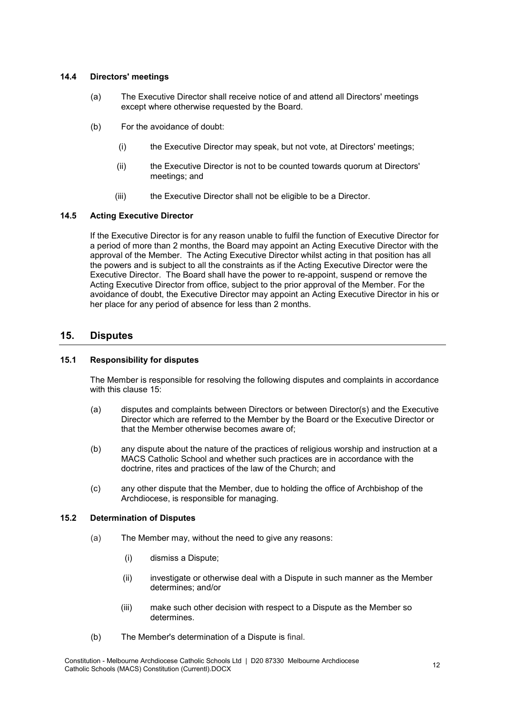#### **14.4 Directors' meetings**

- (a) The Executive Director shall receive notice of and attend all Directors' meetings except where otherwise requested by the Board.
- (b) For the avoidance of doubt:
	- (i) the Executive Director may speak, but not vote, at Directors' meetings;
	- (ii) the Executive Director is not to be counted towards quorum at Directors' meetings; and
	- (iii) the Executive Director shall not be eligible to be a Director.

#### <span id="page-12-1"></span>**14.5 Acting Executive Director**

If the Executive Director is for any reason unable to fulfil the function of Executive Director for a period of more than 2 months, the Board may appoint an Acting Executive Director with the approval of the Member. The Acting Executive Director whilst acting in that position has all the powers and is subject to all the constraints as if the Acting Executive Director were the Executive Director. The Board shall have the power to re-appoint, suspend or remove the Acting Executive Director from office, subject to the prior approval of the Member. For the avoidance of doubt, the Executive Director may appoint an Acting Executive Director in his or her place for any period of absence for less than 2 months.

## <span id="page-12-0"></span>**15. Disputes**

#### **15.1 Responsibility for disputes**

The Member is responsible for resolving the following disputes and complaints in accordance with this clause [15:](#page-12-0)

- (a) disputes and complaints between Directors or between Director(s) and the Executive Director which are referred to the Member by the Board or the Executive Director or that the Member otherwise becomes aware of;
- (b) any dispute about the nature of the practices of religious worship and instruction at a MACS Catholic School and whether such practices are in accordance with the doctrine, rites and practices of the law of the Church; and
- (c) any other dispute that the Member, due to holding the office of Archbishop of the Archdiocese, is responsible for managing.

#### **15.2 Determination of Disputes**

- (a) The Member may, without the need to give any reasons:
	- (i) dismiss a Dispute;
	- (ii) investigate or otherwise deal with a Dispute in such manner as the Member determines; and/or
	- (iii) make such other decision with respect to a Dispute as the Member so determines.
- (b) The Member's determination of a Dispute is final.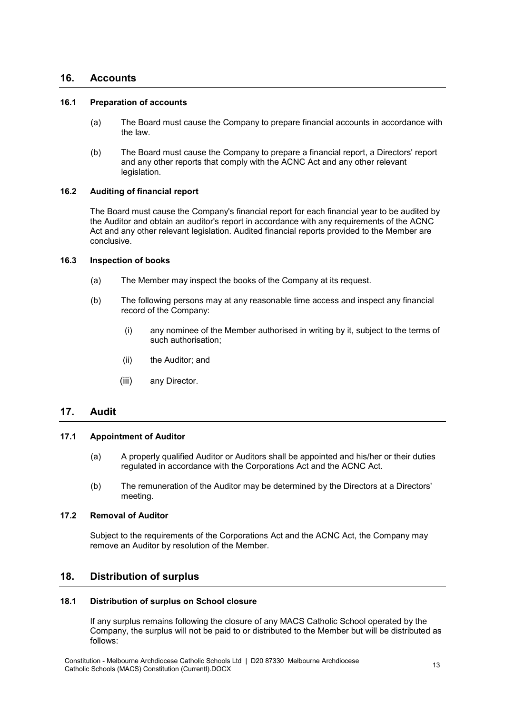#### **16. Accounts**

#### **16.1 Preparation of accounts**

- (a) The Board must cause the Company to prepare financial accounts in accordance with the law.
- (b) The Board must cause the Company to prepare a financial report, a Directors' report and any other reports that comply with the ACNC Act and any other relevant legislation.

#### **16.2 Auditing of financial report**

The Board must cause the Company's financial report for each financial year to be audited by the Auditor and obtain an auditor's report in accordance with any requirements of the ACNC Act and any other relevant legislation. Audited financial reports provided to the Member are conclusive.

#### <span id="page-13-0"></span>**16.3 Inspection of books**

- (a) The Member may inspect the books of the Company at its request.
- <span id="page-13-1"></span>(b) The following persons may at any reasonable time access and inspect any financial record of the Company:
	- (i) any nominee of the Member authorised in writing by it, subject to the terms of such authorisation;
	- (ii) the Auditor; and
	- (iii) any Director.

# **17. Audit**

#### **17.1 Appointment of Auditor**

- (a) A properly qualified Auditor or Auditors shall be appointed and his/her or their duties regulated in accordance with the Corporations Act and the ACNC Act.
- (b) The remuneration of the Auditor may be determined by the Directors at a Directors' meeting.

# **17.2 Removal of Auditor**

Subject to the requirements of the Corporations Act and the ACNC Act, the Company may remove an Auditor by resolution of the Member.

# **18. Distribution of surplus**

#### **18.1 Distribution of surplus on School closure**

If any surplus remains following the closure of any MACS Catholic School operated by the Company, the surplus will not be paid to or distributed to the Member but will be distributed as follows: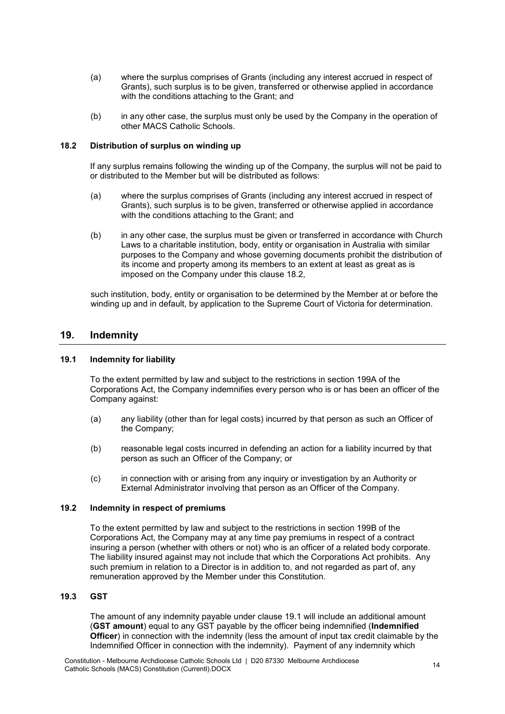- (a) where the surplus comprises of Grants (including any interest accrued in respect of Grants), such surplus is to be given, transferred or otherwise applied in accordance with the conditions attaching to the Grant; and
- (b) in any other case, the surplus must only be used by the Company in the operation of other MACS Catholic Schools.

#### <span id="page-14-1"></span>**18.2 Distribution of surplus on winding up**

If any surplus remains following the winding up of the Company, the surplus will not be paid to or distributed to the Member but will be distributed as follows:

- (a) where the surplus comprises of Grants (including any interest accrued in respect of Grants), such surplus is to be given, transferred or otherwise applied in accordance with the conditions attaching to the Grant; and
- (b) in any other case, the surplus must be given or transferred in accordance with Church Laws to a charitable institution, body, entity or organisation in Australia with similar purposes to the Company and whose governing documents prohibit the distribution of its income and property among its members to an extent at least as great as is imposed on the Company under this clause [18.2,](#page-14-1)

such institution, body, entity or organisation to be determined by the Member at or before the winding up and in default, by application to the Supreme Court of Victoria for determination.

# <span id="page-14-0"></span>**19. Indemnity**

#### <span id="page-14-2"></span>**19.1 Indemnity for liability**

To the extent permitted by law and subject to the restrictions in section 199A of the Corporations Act, the Company indemnifies every person who is or has been an officer of the Company against:

- (a) any liability (other than for legal costs) incurred by that person as such an Officer of the Company;
- (b) reasonable legal costs incurred in defending an action for a liability incurred by that person as such an Officer of the Company; or
- (c) in connection with or arising from any inquiry or investigation by an Authority or External Administrator involving that person as an Officer of the Company.

#### **19.2 Indemnity in respect of premiums**

To the extent permitted by law and subject to the restrictions in section 199B of the Corporations Act, the Company may at any time pay premiums in respect of a contract insuring a person (whether with others or not) who is an officer of a related body corporate. The liability insured against may not include that which the Corporations Act prohibits. Any such premium in relation to a Director is in addition to, and not regarded as part of, any remuneration approved by the Member under this Constitution.

#### **19.3 GST**

The amount of any indemnity payable under clause [19.1](#page-14-2) will include an additional amount (**GST amount**) equal to any GST payable by the officer being indemnified (**Indemnified Officer**) in connection with the indemnity (less the amount of input tax credit claimable by the Indemnified Officer in connection with the indemnity). Payment of any indemnity which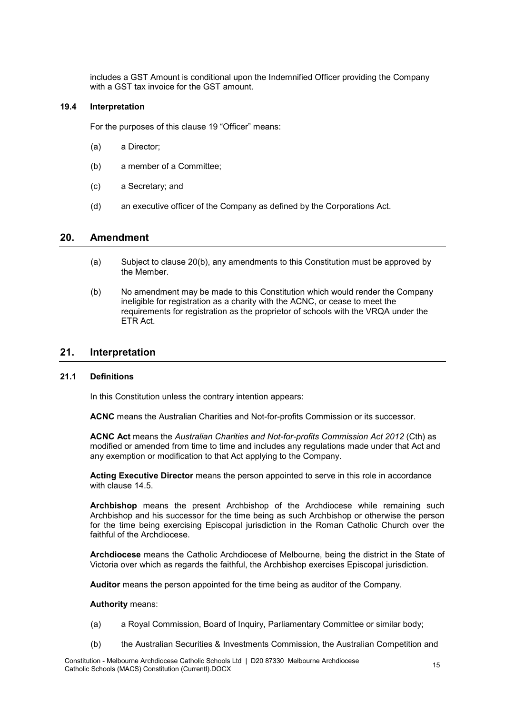includes a GST Amount is conditional upon the Indemnified Officer providing the Company with a GST tax invoice for the GST amount.

#### **19.4 Interpretation**

For the purposes of this clause [19](#page-14-0) "Officer" means:

- (a) a Director;
- (b) a member of a Committee;
- (c) a Secretary; and
- (d) an executive officer of the Company as defined by the Corporations Act.

# <span id="page-15-1"></span>**20. Amendment**

- (a) Subject to clause [20\(b\),](#page-15-0) any amendments to this Constitution must be approved by the Member.
- <span id="page-15-0"></span>(b) No amendment may be made to this Constitution which would render the Company ineligible for registration as a charity with the ACNC, or cease to meet the requirements for registration as the proprietor of schools with the VRQA under the ETR Act.

# **21. Interpretation**

#### **21.1 Definitions**

In this Constitution unless the contrary intention appears:

**ACNC** means the Australian Charities and Not-for-profits Commission or its successor.

**ACNC Act** means the *Australian Charities and Not-for-profits Commission Act 2012* (Cth) as modified or amended from time to time and includes any regulations made under that Act and any exemption or modification to that Act applying to the Company.

**Acting Executive Director** means the person appointed to serve in this role in accordance with clause [14.5.](#page-12-1)

**Archbishop** means the present Archbishop of the Archdiocese while remaining such Archbishop and his successor for the time being as such Archbishop or otherwise the person for the time being exercising Episcopal jurisdiction in the Roman Catholic Church over the faithful of the Archdiocese.

**Archdiocese** means the Catholic Archdiocese of Melbourne, being the district in the State of Victoria over which as regards the faithful, the Archbishop exercises Episcopal jurisdiction.

**Auditor** means the person appointed for the time being as auditor of the Company.

#### **Authority** means:

- (a) a Royal Commission, Board of Inquiry, Parliamentary Committee or similar body;
- (b) the Australian Securities & Investments Commission, the Australian Competition and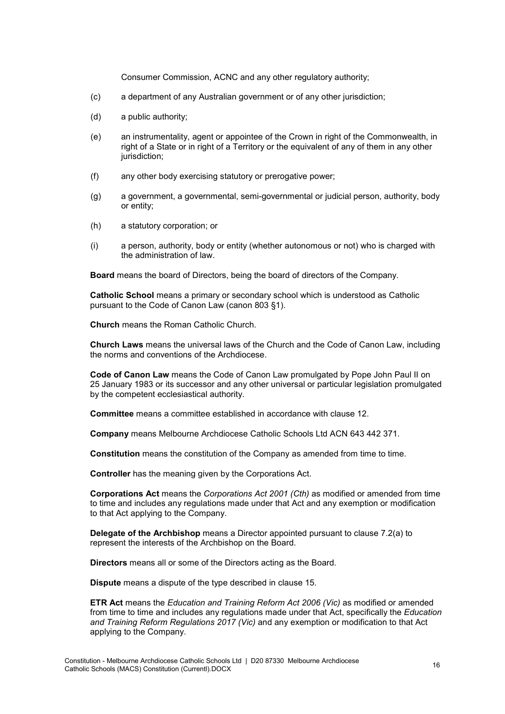Consumer Commission, ACNC and any other regulatory authority;

- (c) a department of any Australian government or of any other jurisdiction;
- (d) a public authority;
- (e) an instrumentality, agent or appointee of the Crown in right of the Commonwealth, in right of a State or in right of a Territory or the equivalent of any of them in any other jurisdiction;
- (f) any other body exercising statutory or prerogative power;
- (g) a government, a governmental, semi-governmental or judicial person, authority, body or entity;
- (h) a statutory corporation; or
- (i) a person, authority, body or entity (whether autonomous or not) who is charged with the administration of law.

**Board** means the board of Directors, being the board of directors of the Company.

**Catholic School** means a primary or secondary school which is understood as Catholic pursuant to the Code of Canon Law (canon 803 §1).

**Church** means the Roman Catholic Church.

**Church Laws** means the universal laws of the Church and the Code of Canon Law, including the norms and conventions of the Archdiocese.

**Code of Canon Law** means the Code of Canon Law promulgated by Pope John Paul II on 25 January 1983 or its successor and any other universal or particular legislation promulgated by the competent ecclesiastical authority.

**Committee** means a committee established in accordance with clause [12.](#page-10-0)

**Company** means Melbourne Archdiocese Catholic Schools Ltd ACN 643 442 371.

**Constitution** means the constitution of the Company as amended from time to time.

**Controller** has the meaning given by the Corporations Act.

**Corporations Act** means the *Corporations Act 2001 (Cth)* as modified or amended from time to time and includes any regulations made under that Act and any exemption or modification to that Act applying to the Company.

**Delegate of the Archbishop** means a Director appointed pursuant to clause [7.2\(a\)](#page-6-1) to represent the interests of the Archbishop on the Board.

**Directors** means all or some of the Directors acting as the Board.

**Dispute** means a dispute of the type described in clause [15.](#page-12-0)

**ETR Act** means the *Education and Training Reform Act 2006 (Vic)* as modified or amended from time to time and includes any regulations made under that Act, specifically the *Education and Training Reform Regulations 2017 (Vic)* and any exemption or modification to that Act applying to the Company.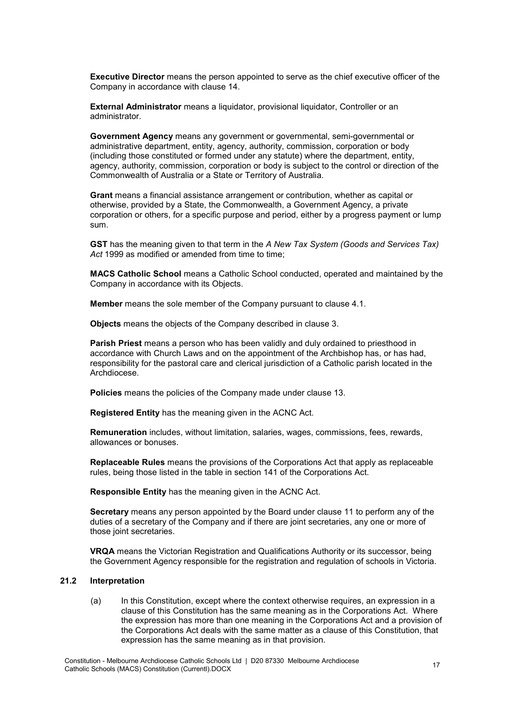**Executive Director** means the person appointed to serve as the chief executive officer of the Company in accordance with clause [14.](#page-11-1)

**External Administrator** means a liquidator, provisional liquidator, Controller or an administrator.

**Government Agency** means any government or governmental, semi-governmental or administrative department, entity, agency, authority, commission, corporation or body (including those constituted or formed under any statute) where the department, entity, agency, authority, commission, corporation or body is subject to the control or direction of the Commonwealth of Australia or a State or Territory of Australia.

**Grant** means a financial assistance arrangement or contribution, whether as capital or otherwise, provided by a State, the Commonwealth, a Government Agency, a private corporation or others, for a specific purpose and period, either by a progress payment or lump sum.

**GST** has the meaning given to that term in the *A New Tax System (Goods and Services Tax)*  Act 1999 as modified or amended from time to time;

**MACS Catholic School** means a Catholic School conducted, operated and maintained by the Company in accordance with its Objects.

**Member** means the sole member of the Company pursuant to clause [4.1.](#page-4-2)

**Objects** means the objects of the Company described in clause [3.](#page-2-0)

**Parish Priest** means a person who has been validly and duly ordained to priesthood in accordance with Church Laws and on the appointment of the Archbishop has, or has had, responsibility for the pastoral care and clerical jurisdiction of a Catholic parish located in the Archdiocese.

**Policies** means the policies of the Company made under clause [13.](#page-11-0)

**Registered Entity** has the meaning given in the ACNC Act.

**Remuneration** includes, without limitation, salaries, wages, commissions, fees, rewards, allowances or bonuses.

**Replaceable Rules** means the provisions of the Corporations Act that apply as replaceable rules, being those listed in the table in section 141 of the Corporations Act.

**Responsible Entity** has the meaning given in the ACNC Act.

**Secretary** means any person appointed by the Board under clause [11](#page-10-1) to perform any of the duties of a secretary of the Company and if there are joint secretaries, any one or more of those joint secretaries.

**VRQA** means the Victorian Registration and Qualifications Authority or its successor, being the Government Agency responsible for the registration and regulation of schools in Victoria.

#### **21.2 Interpretation**

(a) In this Constitution, except where the context otherwise requires, an expression in a clause of this Constitution has the same meaning as in the Corporations Act. Where the expression has more than one meaning in the Corporations Act and a provision of the Corporations Act deals with the same matter as a clause of this Constitution, that expression has the same meaning as in that provision.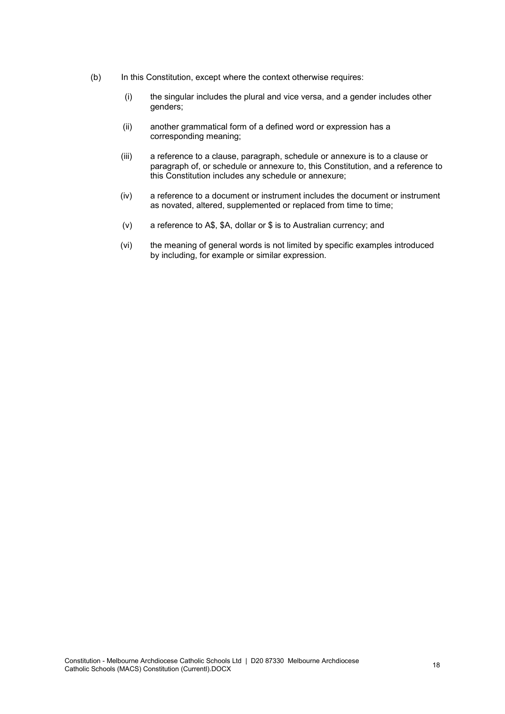- (b) In this Constitution, except where the context otherwise requires:
	- (i) the singular includes the plural and vice versa, and a gender includes other genders;
	- (ii) another grammatical form of a defined word or expression has a corresponding meaning;
	- (iii) a reference to a clause, paragraph, schedule or annexure is to a clause or paragraph of, or schedule or annexure to, this Constitution, and a reference to this Constitution includes any schedule or annexure;
	- (iv) a reference to a document or instrument includes the document or instrument as novated, altered, supplemented or replaced from time to time;
	- (v) a reference to A\$, \$A, dollar or \$ is to Australian currency; and
	- (vi) the meaning of general words is not limited by specific examples introduced by including, for example or similar expression.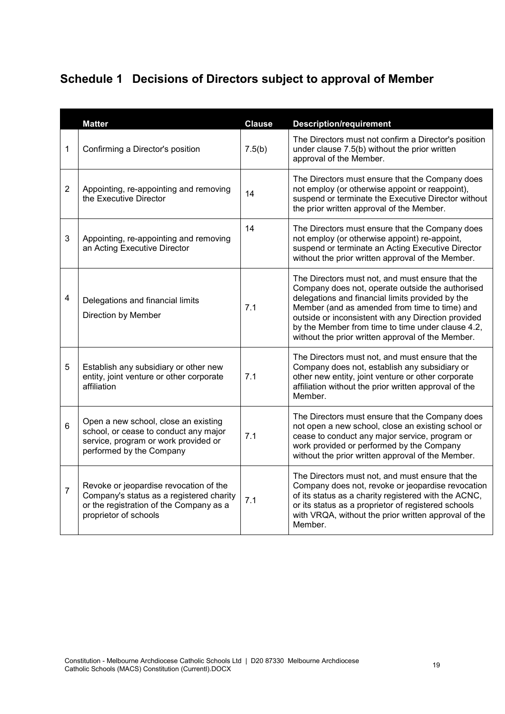# **Schedule 1 Decisions of Directors subject to approval of Member**

|                | <b>Matter</b>                                                                                                                                          | <b>Clause</b> | <b>Description/requirement</b>                                                                                                                                                                                                                                                                                                                                             |
|----------------|--------------------------------------------------------------------------------------------------------------------------------------------------------|---------------|----------------------------------------------------------------------------------------------------------------------------------------------------------------------------------------------------------------------------------------------------------------------------------------------------------------------------------------------------------------------------|
| 1              | Confirming a Director's position                                                                                                                       | 7.5(b)        | The Directors must not confirm a Director's position<br>under clause 7.5(b) without the prior written<br>approval of the Member.                                                                                                                                                                                                                                           |
| $\overline{2}$ | Appointing, re-appointing and removing<br>the Executive Director                                                                                       | 14            | The Directors must ensure that the Company does<br>not employ (or otherwise appoint or reappoint),<br>suspend or terminate the Executive Director without<br>the prior written approval of the Member.                                                                                                                                                                     |
| 3              | Appointing, re-appointing and removing<br>an Acting Executive Director                                                                                 | 14            | The Directors must ensure that the Company does<br>not employ (or otherwise appoint) re-appoint,<br>suspend or terminate an Acting Executive Director<br>without the prior written approval of the Member.                                                                                                                                                                 |
| 4              | Delegations and financial limits<br>Direction by Member                                                                                                | 7.1           | The Directors must not, and must ensure that the<br>Company does not, operate outside the authorised<br>delegations and financial limits provided by the<br>Member (and as amended from time to time) and<br>outside or inconsistent with any Direction provided<br>by the Member from time to time under clause 4.2,<br>without the prior written approval of the Member. |
| 5              | Establish any subsidiary or other new<br>entity, joint venture or other corporate<br>affiliation                                                       | 7.1           | The Directors must not, and must ensure that the<br>Company does not, establish any subsidiary or<br>other new entity, joint venture or other corporate<br>affiliation without the prior written approval of the<br>Member.                                                                                                                                                |
| 6              | Open a new school, close an existing<br>school, or cease to conduct any major<br>service, program or work provided or<br>performed by the Company      | 7.1           | The Directors must ensure that the Company does<br>not open a new school, close an existing school or<br>cease to conduct any major service, program or<br>work provided or performed by the Company<br>without the prior written approval of the Member.                                                                                                                  |
| $\overline{7}$ | Revoke or jeopardise revocation of the<br>Company's status as a registered charity<br>or the registration of the Company as a<br>proprietor of schools | 7.1           | The Directors must not, and must ensure that the<br>Company does not, revoke or jeopardise revocation<br>of its status as a charity registered with the ACNC,<br>or its status as a proprietor of registered schools<br>with VRQA, without the prior written approval of the<br>Member.                                                                                    |